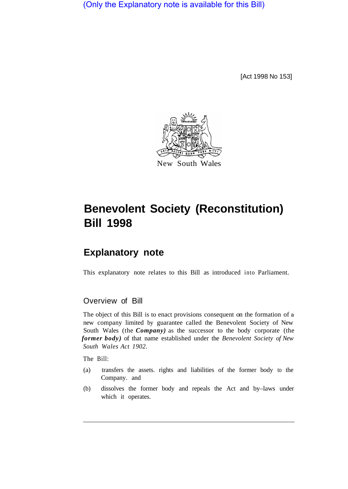(Only the Explanatory note is available for this Bill)

[Act 1998 No 153]



## **Benevolent Society (Reconstitution) Bill 1998**

## **Explanatory note**

This explanatory note relates to this Bill as introduced into Parliament.

## Overview of Bill

The object of this Bill is to enact provisions consequent on the formation of a new company limited by guarantee called the Benevolent Society of New South Wales (the *Company)* as the successor to the body corporate (the *former body)* of that name established under the *Benevolent Society of New South Wales Act 1902.* 

The Bill:

- (a) transfers the assets. rights and liabilities of the former body to the Company. and
- (b) dissolves the former body and repeals the Act and by–laws under which it operates.